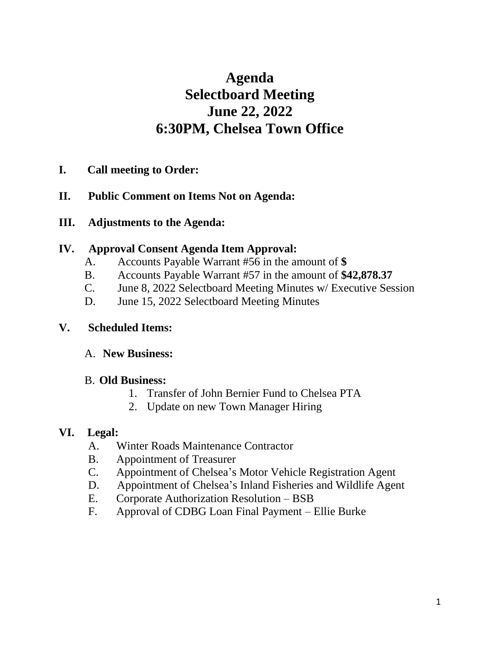# **Agenda Selectboard Meeting June 22, 2022 6:30PM, Chelsea Town Office**

### **I. Call meeting to Order:**

#### **II. Public Comment on Items Not on Agenda:**

#### **III. Adjustments to the Agenda:**

#### **IV. Approval Consent Agenda Item Approval:**

- A. Accounts Payable Warrant #56 in the amount of **\$**
- B. Accounts Payable Warrant #57 in the amount of **\$42,878.37**
- C. June 8, 2022 Selectboard Meeting Minutes w/ Executive Session
- D. June 15, 2022 Selectboard Meeting Minutes

#### **V. Scheduled Items:**

#### A. **New Business:**

#### B. **Old Business:**

- 1. Transfer of John Bernier Fund to Chelsea PTA
- 2. Update on new Town Manager Hiring

#### **VI. Legal:**

- A. Winter Roads Maintenance Contractor
- B. Appointment of Treasurer
- C. Appointment of Chelsea's Motor Vehicle Registration Agent
- D. Appointment of Chelsea's Inland Fisheries and Wildlife Agent
- E. Corporate Authorization Resolution BSB
- F. Approval of CDBG Loan Final Payment Ellie Burke